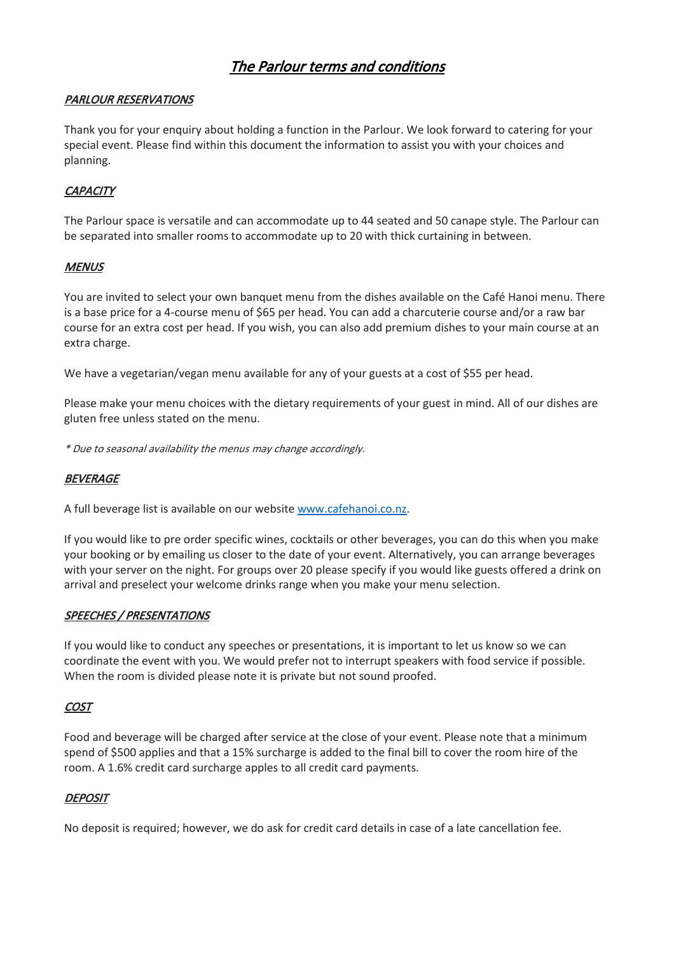# The Parlour terms and conditions

## PARLOUR RESERVATIONS

Thank you for your enquiry about holding a function in the Parlour. We look forward to catering for your special event. Please find within this document the information to assist you with your choices and planning.

# **CAPACITY**

The Parlour space is versatile and can accommodate up to 44 seated and 50 canape style. The Parlour can be separated into smaller rooms to accommodate up to 20 with thick curtaining in between.

## **MENUS**

You are invited to select your own banquet menu from the dishes available on the Café Hanoi menu. There is a base price for a 4-course menu of \$65 per head. You can add a charcuterie course and/or a raw bar course for an extra cost per head. If you wish, you can also add premium dishes to your main course at an extra charge.

We have a vegetarian/vegan menu available for any of your guests at a cost of \$55 per head.

Please make your menu choices with the dietary requirements of your guest in mind. All of our dishes are gluten free unless stated on the menu.

\* Due to seasonal availability the menus may change accordingly.

#### **BEVERAGE**

A full beverage list is available on our websit[e www.cafehanoi.co.nz.](http://www.cafehanoi.co.nz/)

If you would like to pre order specific wines, cocktails or other beverages, you can do this when you make your booking or by emailing us closer to the date of your event. Alternatively, you can arrange beverages with your server on the night. For groups over 20 please specify if you would like guests offered a drink on arrival and preselect your welcome drinks range when you make your menu selection.

#### SPEECHES / PRESENTATIONS

If you would like to conduct any speeches or presentations, it is important to let us know so we can coordinate the event with you. We would prefer not to interrupt speakers with food service if possible. When the room is divided please note it is private but not sound proofed.

#### **COST**

Food and beverage will be charged after service at the close of your event. Please note that a minimum spend of \$500 applies and that a 15% surcharge is added to the final bill to cover the room hire of the room. A 1.6% credit card surcharge apples to all credit card payments.

#### **DEPOSIT**

No deposit is required; however, we do ask for credit card details in case of a late cancellation fee.